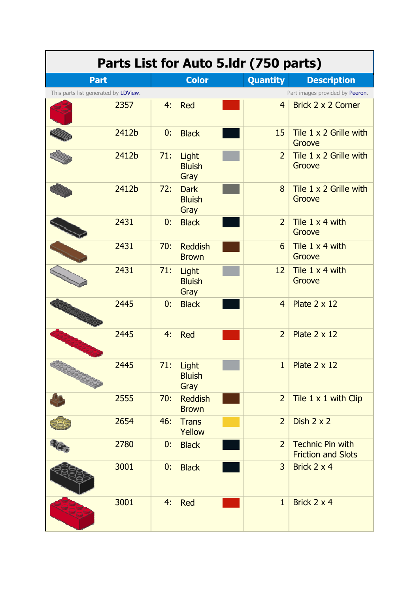| Parts List for Auto 5.Idr (750 parts) |       |     |                                      |  |                 |                                                      |  |
|---------------------------------------|-------|-----|--------------------------------------|--|-----------------|------------------------------------------------------|--|
| <b>Part</b>                           |       |     | <b>Color</b>                         |  | <b>Quantity</b> | <b>Description</b>                                   |  |
| This parts list generated by LDView.  |       |     |                                      |  |                 | Part images provided by Peeron.                      |  |
|                                       | 2357  | 4:  | Red                                  |  | $\overline{4}$  | Brick 2 x 2 Corner                                   |  |
|                                       | 2412b | 0:  | <b>Black</b>                         |  | 15              | Tile 1 x 2 Grille with<br>Groove                     |  |
|                                       | 2412b | 71: | Light<br><b>Bluish</b><br>Gray       |  | $\overline{2}$  | Tile 1 x 2 Grille with<br>Groove                     |  |
|                                       | 2412b | 72: | <b>Dark</b><br><b>Bluish</b><br>Gray |  | 8               | Tile 1 x 2 Grille with<br>Groove                     |  |
|                                       | 2431  | 0:  | <b>Black</b>                         |  | $\overline{2}$  | Tile 1 x 4 with<br>Groove                            |  |
|                                       | 2431  | 70: | <b>Reddish</b><br><b>Brown</b>       |  | 6               | Tile $1 \times 4$ with<br>Groove                     |  |
|                                       | 2431  | 71: | Light<br><b>Bluish</b><br>Gray       |  | 12              | Tile 1 x 4 with<br>Groove                            |  |
|                                       | 2445  | 0:  | <b>Black</b>                         |  | $\overline{4}$  | Plate $2 \times 12$                                  |  |
|                                       | 2445  | 4:  | <b>Red</b>                           |  | $\overline{2}$  | Plate $2 \times 12$                                  |  |
|                                       | 2445  | 71: | Light<br><b>Bluish</b><br>Gray       |  | $\mathbf{1}$    | Plate $2 \times 12$                                  |  |
|                                       | 2555  | 70: | <b>Reddish</b><br><b>Brown</b>       |  | $\overline{2}$  | Tile 1 x 1 with Clip                                 |  |
|                                       | 2654  | 46: | <b>Trans</b><br>Yellow               |  | $\overline{2}$  | Dish $2 \times 2$                                    |  |
|                                       | 2780  | 0:  | <b>Black</b>                         |  | 2 <sup>1</sup>  | <b>Technic Pin with</b><br><b>Friction and Slots</b> |  |
|                                       | 3001  | 0:  | <b>Black</b>                         |  | $\overline{3}$  | Brick 2 x 4                                          |  |
|                                       | 3001  | 4:  | <b>Red</b>                           |  | $\mathbf{1}$    | Brick 2 x 4                                          |  |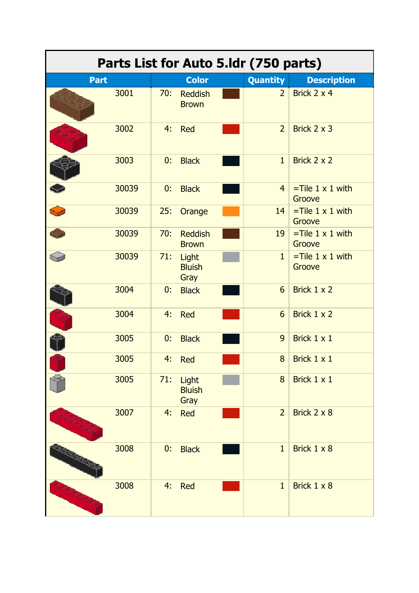| Parts List for Auto 5.1dr (750 parts) |       |     |                                |  |                  |                                      |  |  |
|---------------------------------------|-------|-----|--------------------------------|--|------------------|--------------------------------------|--|--|
| <b>Part</b>                           |       |     | <b>Color</b>                   |  | <b>Quantity</b>  | <b>Description</b>                   |  |  |
|                                       | 3001  | 70: | <b>Reddish</b><br><b>Brown</b> |  | $\overline{2}$   | Brick 2 x 4                          |  |  |
|                                       | 3002  | 4:  | Red                            |  | $\overline{2}$   | Brick 2 x 3                          |  |  |
|                                       | 3003  | 0:  | <b>Black</b>                   |  | $\mathbf{1}$     | Brick 2 x 2                          |  |  |
|                                       | 30039 | 0:  | <b>Black</b>                   |  | $\overline{4}$   | $=$ Tile 1 x 1 with<br>Groove        |  |  |
|                                       | 30039 | 25: | Orange                         |  | 14               | $=$ Tile 1 x 1 with<br>Groove        |  |  |
|                                       | 30039 | 70: | <b>Reddish</b><br><b>Brown</b> |  | 19               | $=$ Tile 1 $\times$ 1 with<br>Groove |  |  |
|                                       | 30039 | 71: | Light<br><b>Bluish</b><br>Gray |  | $\mathbf{1}$     | $=$ Tile 1 x 1 with<br>Groove        |  |  |
|                                       | 3004  | 0:  | <b>Black</b>                   |  | $6\overline{6}$  | Brick 1 x 2                          |  |  |
|                                       | 3004  | 4:  | Red                            |  | $6 \overline{6}$ | Brick 1 x 2                          |  |  |
|                                       | 3005  | 0:  | <b>Black</b>                   |  | 9 <sup>°</sup>   | Brick 1 x 1                          |  |  |
|                                       | 3005  | 4:  | Red                            |  | 8                | Brick 1 x 1                          |  |  |
|                                       | 3005  | 71: | Light<br><b>Bluish</b><br>Gray |  | 8                | Brick 1 x 1                          |  |  |
|                                       | 3007  | 4:  | <b>Red</b>                     |  | $\overline{2}$   | Brick 2 x 8                          |  |  |
| <b>RECEIPTO</b>                       | 3008  | 0:  | <b>Black</b>                   |  | $\mathbf{1}$     | Brick 1 x 8                          |  |  |
|                                       | 3008  | 4:  | <b>Red</b>                     |  | $\mathbf{1}$     | Brick 1 x 8                          |  |  |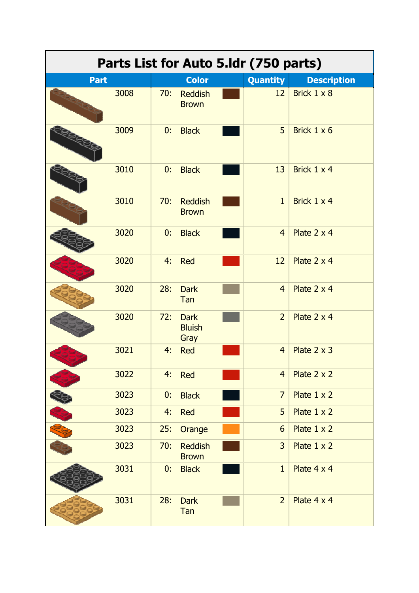| Parts List for Auto 5.1dr (750 parts) |      |     |                                      |  |                 |                    |  |  |
|---------------------------------------|------|-----|--------------------------------------|--|-----------------|--------------------|--|--|
| <b>Part</b>                           |      |     | <b>Color</b>                         |  | <b>Quantity</b> | <b>Description</b> |  |  |
|                                       | 3008 | 70: | <b>Reddish</b><br><b>Brown</b>       |  | 12              | Brick 1 x 8        |  |  |
|                                       | 3009 | 0:  | <b>Black</b>                         |  | 5               | Brick 1 x 6        |  |  |
|                                       | 3010 | 0:  | <b>Black</b>                         |  | 13              | Brick 1 x 4        |  |  |
|                                       | 3010 | 70: | <b>Reddish</b><br><b>Brown</b>       |  | $\mathbf{1}$    | Brick 1 x 4        |  |  |
|                                       | 3020 | 0:  | <b>Black</b>                         |  | $\overline{4}$  | Plate 2 x 4        |  |  |
|                                       | 3020 | 4:  | <b>Red</b>                           |  | 12              | Plate 2 x 4        |  |  |
|                                       | 3020 | 28: | <b>Dark</b><br>Tan                   |  | $\overline{4}$  | Plate 2 x 4        |  |  |
|                                       | 3020 | 72: | <b>Dark</b><br><b>Bluish</b><br>Gray |  | $\overline{2}$  | Plate 2 x 4        |  |  |
|                                       | 3021 | 4:  | <b>Red</b>                           |  | $\overline{4}$  | Plate $2 \times 3$ |  |  |
|                                       | 3022 | 4:  | Red                                  |  | $\overline{4}$  | Plate 2 x 2        |  |  |
|                                       | 3023 | 0:  | <b>Black</b>                         |  | $\overline{7}$  | Plate $1 \times 2$ |  |  |
|                                       | 3023 | 4:  | Red                                  |  | 5               | Plate $1 \times 2$ |  |  |
|                                       | 3023 | 25: | Orange                               |  | 6               | Plate $1 \times 2$ |  |  |
|                                       | 3023 | 70: | <b>Reddish</b><br><b>Brown</b>       |  | $\overline{3}$  | Plate $1 \times 2$ |  |  |
|                                       | 3031 | 0:  | <b>Black</b>                         |  | $\mathbf{1}$    | Plate 4 x 4        |  |  |
|                                       | 3031 | 28: | <b>Dark</b><br>Tan                   |  | $\overline{2}$  | Plate 4 x 4        |  |  |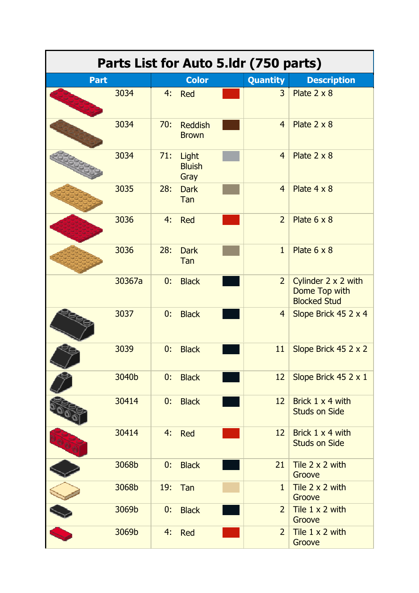| Parts List for Auto 5.Idr (750 parts) |        |     |                                |  |                 |                                                             |  |  |
|---------------------------------------|--------|-----|--------------------------------|--|-----------------|-------------------------------------------------------------|--|--|
| <b>Part</b>                           |        |     | <b>Color</b>                   |  | <b>Quantity</b> | <b>Description</b>                                          |  |  |
|                                       | 3034   | 4:  | Red                            |  | $\overline{3}$  | Plate $2 \times 8$                                          |  |  |
|                                       | 3034   | 70: | <b>Reddish</b><br><b>Brown</b> |  | $\overline{4}$  | Plate $2 \times 8$                                          |  |  |
|                                       | 3034   | 71: | Light<br><b>Bluish</b><br>Gray |  | $\overline{4}$  | Plate $2 \times 8$                                          |  |  |
|                                       | 3035   | 28: | <b>Dark</b><br>Tan             |  | $\overline{4}$  | Plate 4 x 8                                                 |  |  |
|                                       | 3036   | 4:  | Red                            |  | $\overline{2}$  | Plate $6 \times 8$                                          |  |  |
|                                       | 3036   | 28: | <b>Dark</b><br>Tan             |  | $\mathbf{1}$    | Plate $6 \times 8$                                          |  |  |
|                                       | 30367a | 0:  | <b>Black</b>                   |  | $\overline{2}$  | Cylinder 2 x 2 with<br>Dome Top with<br><b>Blocked Stud</b> |  |  |
|                                       | 3037   | 0:  | <b>Black</b>                   |  | $\overline{4}$  | Slope Brick 45 2 x 4                                        |  |  |
|                                       | 3039   | 0:  | <b>Black</b>                   |  | 11              | Slope Brick 45 2 x 2                                        |  |  |
|                                       | 3040b  | 0:  | <b>Black</b>                   |  | 12              | Slope Brick 45 2 x 1                                        |  |  |
|                                       | 30414  | 0:  | <b>Black</b>                   |  | 12              | Brick 1 x 4 with<br><b>Studs on Side</b>                    |  |  |
|                                       | 30414  | 4:  | <b>Red</b>                     |  | 12              | Brick 1 x 4 with<br><b>Studs on Side</b>                    |  |  |
|                                       | 3068b  | 0:  | <b>Black</b>                   |  | 21              | Tile $2 \times 2$ with<br>Groove                            |  |  |
|                                       | 3068b  | 19: | Tan                            |  | $\mathbf{1}$    | Tile $2 \times 2$ with<br>Groove                            |  |  |
|                                       | 3069b  | 0:  | <b>Black</b>                   |  | $\overline{2}$  | Tile $1 \times 2$ with<br>Groove                            |  |  |
|                                       | 3069b  | 4:  | <b>Red</b>                     |  | $\overline{2}$  | Tile 1 x 2 with<br>Groove                                   |  |  |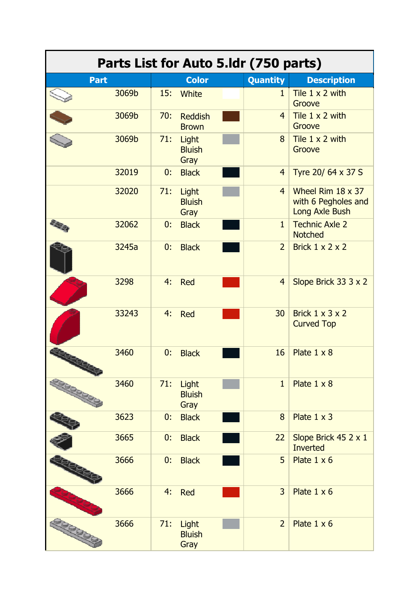|             |       |     |                                | Parts List for Auto 5.1dr (750 parts) |                                                                   |
|-------------|-------|-----|--------------------------------|---------------------------------------|-------------------------------------------------------------------|
| <b>Part</b> |       |     | <b>Color</b>                   | <b>Quantity</b>                       | <b>Description</b>                                                |
|             | 3069b | 15: | White                          | 1                                     | Tile $1 \times 2$ with<br>Groove                                  |
|             | 3069b | 70: | <b>Reddish</b><br><b>Brown</b> | $\overline{4}$                        | Tile $1 \times 2$ with<br>Groove                                  |
|             | 3069b | 71: | Light<br><b>Bluish</b><br>Gray | 8                                     | Tile $1 \times 2$ with<br>Groove                                  |
|             | 32019 | 0:  | <b>Black</b>                   | $\overline{4}$                        | Tyre 20/ 64 x 37 S                                                |
|             | 32020 | 71: | Light<br><b>Bluish</b><br>Gray | $\overline{4}$                        | Wheel Rim $18 \times 37$<br>with 6 Pegholes and<br>Long Axle Bush |
|             | 32062 | 0:  | <b>Black</b>                   | $\mathbf{1}$                          | <b>Technic Axle 2</b><br><b>Notched</b>                           |
|             | 3245a | 0:  | <b>Black</b>                   | $\overline{2}$                        | Brick $1 \times 2 \times 2$                                       |
|             | 3298  | 4:  | Red                            | $\overline{4}$                        | Slope Brick 33 3 x 2                                              |
|             | 33243 | 4:  | Red                            | 30                                    | Brick $1 \times 3 \times 2$<br><b>Curved Top</b>                  |
|             | 3460  | 0:  | <b>Black</b>                   | 16                                    | Plate $1 \times 8$                                                |
|             | 3460  | 71: | Light<br><b>Bluish</b><br>Gray | $\mathbf{1}$                          | Plate $1 \times 8$                                                |
|             | 3623  | 0:  | <b>Black</b>                   | 8                                     | Plate $1 \times 3$                                                |
|             | 3665  | 0:  | <b>Black</b>                   | 22                                    | Slope Brick 45 2 x 1<br><b>Inverted</b>                           |
|             | 3666  | 0:  | <b>Black</b>                   | 5                                     | Plate $1 \times 6$                                                |
|             | 3666  | 4:  | <b>Red</b>                     | $\overline{3}$                        | Plate $1 \times 6$                                                |
|             | 3666  | 71: | Light<br><b>Bluish</b><br>Gray | $\overline{2}$                        | Plate $1 \times 6$                                                |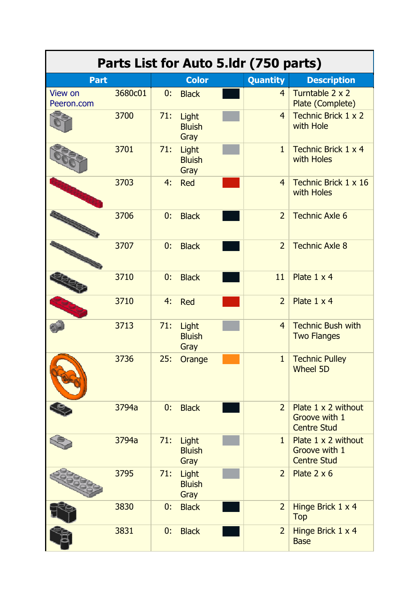| Parts List for Auto 5.1dr (750 parts) |         |     |                                |  |                 |                                                                   |  |  |
|---------------------------------------|---------|-----|--------------------------------|--|-----------------|-------------------------------------------------------------------|--|--|
| <b>Part</b>                           |         |     | <b>Color</b>                   |  | <b>Quantity</b> | <b>Description</b>                                                |  |  |
| View on<br>Peeron.com                 | 3680c01 | 0:  | <b>Black</b>                   |  | $\overline{4}$  | Turntable 2 x 2<br>Plate (Complete)                               |  |  |
|                                       | 3700    | 71: | Light<br><b>Bluish</b><br>Gray |  | $\overline{4}$  | Technic Brick 1 x 2<br>with Hole                                  |  |  |
|                                       | 3701    | 71: | Light<br><b>Bluish</b><br>Gray |  | $\mathbf{1}$    | Technic Brick 1 x 4<br>with Holes                                 |  |  |
|                                       | 3703    | 4:  | Red                            |  | $\overline{4}$  | Technic Brick 1 x 16<br>with Holes                                |  |  |
|                                       | 3706    | 0:  | <b>Black</b>                   |  | $\overline{2}$  | <b>Technic Axle 6</b>                                             |  |  |
|                                       | 3707    | 0:  | <b>Black</b>                   |  | $\overline{2}$  | <b>Technic Axle 8</b>                                             |  |  |
|                                       | 3710    | 0:  | <b>Black</b>                   |  | 11              | Plate 1 x 4                                                       |  |  |
|                                       | 3710    | 4:  | Red                            |  | $\overline{2}$  | Plate 1 x 4                                                       |  |  |
|                                       | 3713    | 71: | Light<br><b>Bluish</b><br>Gray |  | $\overline{4}$  | <b>Technic Bush with</b><br><b>Two Flanges</b>                    |  |  |
|                                       | 3736    | 25: | Orange                         |  | $\mathbf{1}$    | <b>Technic Pulley</b><br>Wheel 5D                                 |  |  |
|                                       | 3794a   | 0:  | <b>Black</b>                   |  | $\overline{2}$  | Plate $1 \times 2$ without<br>Groove with 1<br><b>Centre Stud</b> |  |  |
|                                       | 3794a   | 71: | Light<br><b>Bluish</b><br>Gray |  | $\mathbf{1}$    | Plate $1 \times 2$ without<br>Groove with 1<br><b>Centre Stud</b> |  |  |
|                                       | 3795    | 71: | Light<br><b>Bluish</b><br>Gray |  | $\overline{2}$  | Plate $2 \times 6$                                                |  |  |
|                                       | 3830    | 0:  | <b>Black</b>                   |  | $\overline{2}$  | Hinge Brick 1 x 4<br><b>Top</b>                                   |  |  |
|                                       | 3831    | 0:  | <b>Black</b>                   |  | $\overline{2}$  | Hinge Brick 1 x 4<br><b>Base</b>                                  |  |  |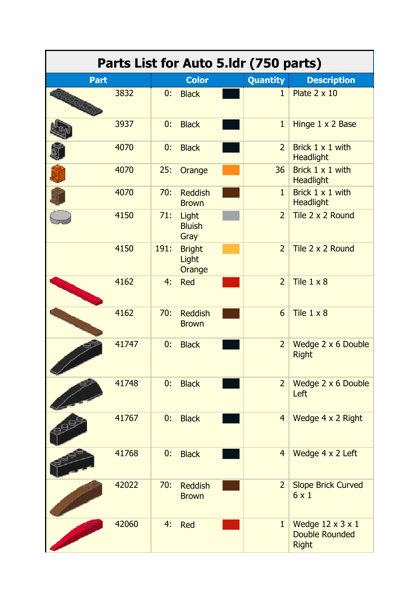| Parts List for Auto 5.ldr (750 parts) |       |      |                                  |  |                 |                                                                       |  |  |  |
|---------------------------------------|-------|------|----------------------------------|--|-----------------|-----------------------------------------------------------------------|--|--|--|
| <b>Part</b>                           |       |      | <b>Color</b>                     |  | <b>Quantity</b> | <b>Description</b>                                                    |  |  |  |
|                                       | 3832  | 0:   | <b>Black</b>                     |  | $\mathbf{1}$    | Plate 2 x 10                                                          |  |  |  |
|                                       | 3937  | 0:   | <b>Black</b>                     |  | $\mathbf{1}$    | Hinge 1 x 2 Base                                                      |  |  |  |
|                                       | 4070  | 0:   | <b>Black</b>                     |  | $\overline{2}$  | Brick $1 \times 1$ with<br><b>Headlight</b>                           |  |  |  |
|                                       | 4070  | 25:  | Orange                           |  | 36              | Brick $1 \times 1$ with<br><b>Headlight</b>                           |  |  |  |
|                                       | 4070  | 70:  | <b>Reddish</b><br><b>Brown</b>   |  | $\mathbf{1}$    | Brick 1 x 1 with<br><b>Headlight</b>                                  |  |  |  |
|                                       | 4150  | 71:  | Light<br><b>Bluish</b><br>Gray   |  | $\overline{2}$  | Tile 2 x 2 Round                                                      |  |  |  |
|                                       | 4150  | 191: | <b>Bright</b><br>Light<br>Orange |  | $\overline{2}$  | Tile 2 x 2 Round                                                      |  |  |  |
|                                       | 4162  | 4:   | <b>Red</b>                       |  | $\overline{2}$  | Tile $1 \times 8$                                                     |  |  |  |
|                                       | 4162  | 70:  | <b>Reddish</b><br><b>Brown</b>   |  | 6               | Tile $1 \times 8$                                                     |  |  |  |
|                                       | 41747 | 0:   | <b>Black</b>                     |  | $\overline{2}$  | Wedge 2 x 6 Double<br><b>Right</b>                                    |  |  |  |
|                                       | 41748 | 0:   | <b>Black</b>                     |  | $\overline{2}$  | Wedge 2 x 6 Double<br>Left                                            |  |  |  |
|                                       | 41767 | 0:   | <b>Black</b>                     |  | $\overline{4}$  | Wedge 4 x 2 Right                                                     |  |  |  |
|                                       | 41768 | 0:   | <b>Black</b>                     |  | $\overline{4}$  | Wedge 4 x 2 Left                                                      |  |  |  |
|                                       | 42022 | 70:  | <b>Reddish</b><br><b>Brown</b>   |  | $\overline{2}$  | <b>Slope Brick Curved</b><br>6x1                                      |  |  |  |
|                                       | 42060 | 4:   | <b>Red</b>                       |  | $\mathbf{1}$    | Wedge $12 \times 3 \times 1$<br><b>Double Rounded</b><br><b>Right</b> |  |  |  |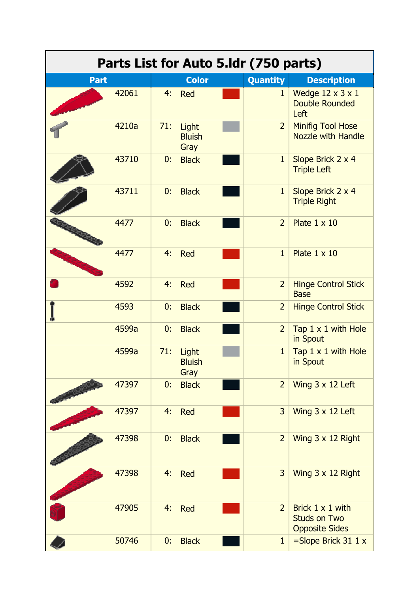| Parts List for Auto 5.1dr (750 parts) |       |     |                                |  |                 |                                                                  |  |  |
|---------------------------------------|-------|-----|--------------------------------|--|-----------------|------------------------------------------------------------------|--|--|
| <b>Part</b>                           |       |     | <b>Color</b>                   |  | <b>Quantity</b> | <b>Description</b>                                               |  |  |
|                                       | 42061 | 4:  | <b>Red</b>                     |  | $\mathbf{1}$    | Wedge $12 \times 3 \times 1$<br><b>Double Rounded</b><br>Left    |  |  |
|                                       | 4210a | 71: | Light<br><b>Bluish</b><br>Gray |  | $\overline{2}$  | <b>Minifig Tool Hose</b><br><b>Nozzle with Handle</b>            |  |  |
|                                       | 43710 | 0:  | <b>Black</b>                   |  | $\mathbf{1}$    | Slope Brick 2 x 4<br><b>Triple Left</b>                          |  |  |
|                                       | 43711 | 0:  | <b>Black</b>                   |  | $\mathbf{1}$    | Slope Brick 2 x 4<br><b>Triple Right</b>                         |  |  |
|                                       | 4477  | 0:  | <b>Black</b>                   |  | $\overline{2}$  | Plate $1 \times 10$                                              |  |  |
|                                       | 4477  | 4:  | Red                            |  | $\mathbf{1}$    | Plate $1 \times 10$                                              |  |  |
|                                       | 4592  | 4:  | <b>Red</b>                     |  | $\overline{2}$  | <b>Hinge Control Stick</b><br><b>Base</b>                        |  |  |
|                                       | 4593  | 0:  | <b>Black</b>                   |  | $\overline{2}$  | <b>Hinge Control Stick</b>                                       |  |  |
|                                       | 4599a | 0:  | <b>Black</b>                   |  | $\overline{2}$  | Tap 1 x 1 with Hole<br>in Spout                                  |  |  |
|                                       | 4599a | 71: | Light<br><b>Bluish</b><br>Gray |  | 1               | Tap 1 x 1 with Hole<br>in Spout                                  |  |  |
|                                       | 47397 | 0:  | <b>Black</b>                   |  | $\overline{2}$  | Wing $3 \times 12$ Left                                          |  |  |
|                                       | 47397 | 4:  | <b>Red</b>                     |  | 3               | Wing $3 \times 12$ Left                                          |  |  |
|                                       | 47398 | 0:  | <b>Black</b>                   |  | $\overline{2}$  | Wing 3 x 12 Right                                                |  |  |
|                                       | 47398 | 4:  | <b>Red</b>                     |  | 3               | Wing 3 x 12 Right                                                |  |  |
|                                       | 47905 | 4:  | <b>Red</b>                     |  | $\overline{2}$  | Brick 1 x 1 with<br><b>Studs on Two</b><br><b>Opposite Sides</b> |  |  |
|                                       | 50746 | 0:  | <b>Black</b>                   |  | $\mathbf{1}$    | $=$ Slope Brick 31 1 x                                           |  |  |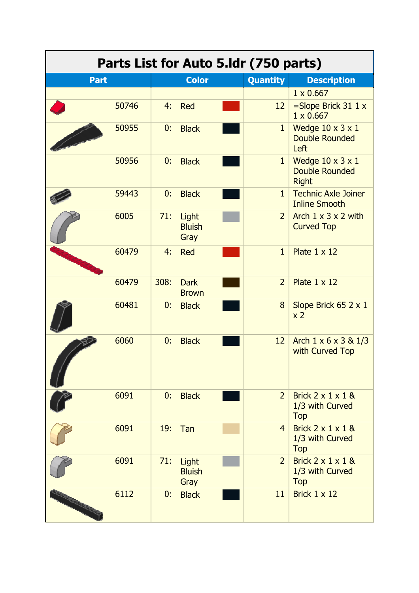|                  |       |      |                                | Parts List for Auto 5.1dr (750 parts) |                                                                       |
|------------------|-------|------|--------------------------------|---------------------------------------|-----------------------------------------------------------------------|
| <b>Part</b>      |       |      | <b>Color</b>                   | <b>Quantity</b>                       | <b>Description</b>                                                    |
|                  |       |      |                                |                                       | $1 \times 0.667$                                                      |
|                  | 50746 | 4:   | Red                            | 12                                    | $=$ Slope Brick 31 1 x<br>$1 \times 0.667$                            |
|                  | 50955 | 0:   | <b>Black</b>                   | $\mathbf{1}$                          | Wedge $10 \times 3 \times 1$<br><b>Double Rounded</b><br>Left         |
|                  | 50956 | 0:   | <b>Black</b>                   | $\mathbf{1}$                          | Wedge $10 \times 3 \times 1$<br><b>Double Rounded</b><br><b>Right</b> |
|                  | 59443 | 0:   | <b>Black</b>                   | $\mathbf{1}$                          | <b>Technic Axle Joiner</b><br><b>Inline Smooth</b>                    |
|                  | 6005  | 71:  | Light<br><b>Bluish</b><br>Gray | $\overline{2}$                        | Arch $1 \times 3 \times 2$ with<br><b>Curved Top</b>                  |
|                  | 60479 | 4:   | Red                            | $\mathbf{1}$                          | Plate $1 \times 12$                                                   |
|                  | 60479 | 308: | <b>Dark</b><br><b>Brown</b>    | $\overline{2}$                        | Plate $1 \times 12$                                                   |
|                  | 60481 | 0:   | <b>Black</b>                   | 8                                     | Slope Brick 65 2 x 1<br>x <sub>2</sub>                                |
|                  | 6060  | 0:   | <b>Black</b>                   | 12                                    | Arch $1 \times 6 \times 3 \& 1/3$<br>with Curved Top                  |
|                  | 6091  | 0:   | <b>Black</b>                   | $\overline{2}$                        | Brick $2 \times 1 \times 1$ &<br>1/3 with Curved<br>Top               |
|                  | 6091  | 19:  | Tan                            | $\overline{4}$                        | Brick $2 \times 1 \times 1$ &<br>1/3 with Curved<br><b>Top</b>        |
|                  | 6091  | 71:  | Light<br><b>Bluish</b><br>Gray | $\overline{2}$                        | Brick $2 \times 1 \times 1$ &<br>1/3 with Curved<br><b>Top</b>        |
| <b>Ballinger</b> | 6112  | 0:   | <b>Black</b>                   | 11                                    | Brick $1 \times 12$                                                   |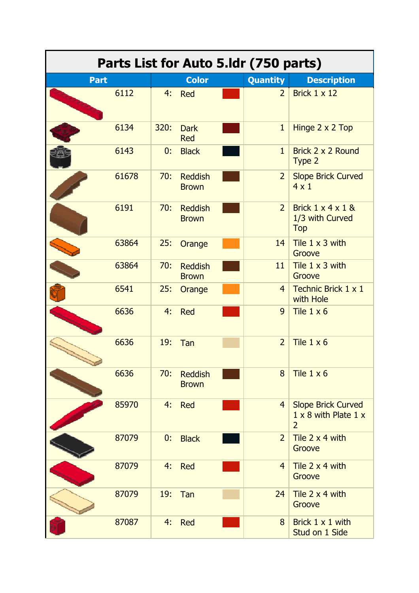| Parts List for Auto 5.1dr (750 parts) |       |      |                                |  |                |                                                                                   |  |  |
|---------------------------------------|-------|------|--------------------------------|--|----------------|-----------------------------------------------------------------------------------|--|--|
| <b>Part</b>                           |       |      | <b>Color</b>                   |  | Quantity       | <b>Description</b>                                                                |  |  |
|                                       | 6112  | 4:   | Red                            |  | $\overline{2}$ | Brick 1 x 12                                                                      |  |  |
|                                       | 6134  | 320: | <b>Dark</b><br><b>Red</b>      |  | $\mathbf{1}$   | Hinge 2 x 2 Top                                                                   |  |  |
|                                       | 6143  | 0:   | <b>Black</b>                   |  | $\mathbf{1}$   | Brick 2 x 2 Round<br>Type 2                                                       |  |  |
|                                       | 61678 | 70:  | <b>Reddish</b><br><b>Brown</b> |  | $\overline{2}$ | <b>Slope Brick Curved</b><br>$4 \times 1$                                         |  |  |
|                                       | 6191  | 70:  | <b>Reddish</b><br><b>Brown</b> |  | $\overline{2}$ | Brick $1 \times 4 \times 1$ &<br>1/3 with Curved<br><b>Top</b>                    |  |  |
|                                       | 63864 | 25:  | Orange                         |  | 14             | Tile $1 \times 3$ with<br>Groove                                                  |  |  |
|                                       | 63864 | 70:  | <b>Reddish</b><br><b>Brown</b> |  | 11             | Tile 1 x 3 with<br>Groove                                                         |  |  |
|                                       | 6541  | 25:  | Orange                         |  | $\overline{4}$ | Technic Brick 1 x 1<br>with Hole                                                  |  |  |
|                                       | 6636  | 4:   | Red                            |  | 9              | Tile $1 \times 6$                                                                 |  |  |
|                                       | 6636  | 19:  | Tan                            |  | $\overline{2}$ | Tile $1 \times 6$                                                                 |  |  |
|                                       | 6636  | 70:  | <b>Reddish</b><br><b>Brown</b> |  | 8              | Tile $1 \times 6$                                                                 |  |  |
|                                       | 85970 | 4:   | <b>Red</b>                     |  | $\overline{4}$ | <b>Slope Brick Curved</b><br>$1 \times 8$ with Plate $1 \times$<br>$\overline{2}$ |  |  |
|                                       | 87079 | 0:   | <b>Black</b>                   |  | $\overline{2}$ | Tile 2 x 4 with<br>Groove                                                         |  |  |
|                                       | 87079 | 4:   | Red                            |  | $\overline{4}$ | Tile $2 \times 4$ with<br>Groove                                                  |  |  |
|                                       | 87079 | 19:  | Tan                            |  | 24             | Tile $2 \times 4$ with<br>Groove                                                  |  |  |
|                                       | 87087 | 4:   | <b>Red</b>                     |  | 8              | Brick 1 x 1 with<br>Stud on 1 Side                                                |  |  |